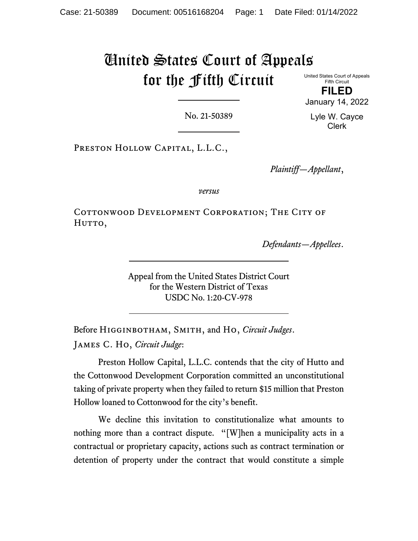# United States Court of Appeals for the Fifth Circuit

United States Court of Appeals Fifth Circuit

**FILED** January 14, 2022

No. 21-50389

Lyle W. Cayce Clerk

Preston Hollow Capital, L.L.C.,

*Plaintiff—Appellant*,

*versus*

COTTONWOOD DEVELOPMENT CORPORATION; THE CITY OF HUTTO,

*Defendants—Appellees*.

Appeal from the United States District Court for the Western District of Texas USDC No. 1:20-CV-978

Before Higginbotham, Smith, and Ho, *Circuit Judges*. James C. Ho, *Circuit Judge*:

Preston Hollow Capital, L.L.C. contends that the city of Hutto and the Cottonwood Development Corporation committed an unconstitutional taking of private property when they failed to return \$15 million that Preston Hollow loaned to Cottonwood for the city's benefit.

We decline this invitation to constitutionalize what amounts to nothing more than a contract dispute. "[W]hen a municipality acts in a contractual or proprietary capacity, actions such as contract termination or detention of property under the contract that would constitute a simple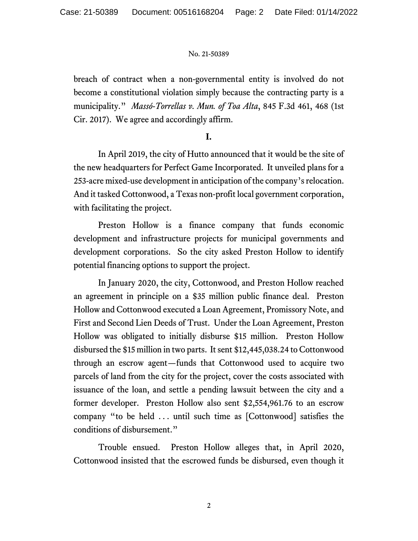breach of contract when a non-governmental entity is involved do not become a constitutional violation simply because the contracting party is a municipality." *Massó-Torrellas v. Mun. of Toa Alta*, 845 F.3d 461, 468 (1st Cir. 2017). We agree and accordingly affirm.

# **I.**

In April 2019, the city of Hutto announced that it would be the site of the new headquarters for Perfect Game Incorporated. It unveiled plans for a 253-acre mixed-use development in anticipation of the company's relocation. And it tasked Cottonwood, a Texas non-profit local government corporation, with facilitating the project.

Preston Hollow is a finance company that funds economic development and infrastructure projects for municipal governments and development corporations. So the city asked Preston Hollow to identify potential financing options to support the project.

In January 2020, the city, Cottonwood, and Preston Hollow reached an agreement in principle on a \$35 million public finance deal. Preston Hollow and Cottonwood executed a Loan Agreement, Promissory Note, and First and Second Lien Deeds of Trust. Under the Loan Agreement, Preston Hollow was obligated to initially disburse \$15 million. Preston Hollow disbursed the \$15 million in two parts. It sent \$12,445,038.24 to Cottonwood through an escrow agent—funds that Cottonwood used to acquire two parcels of land from the city for the project, cover the costs associated with issuance of the loan, and settle a pending lawsuit between the city and a former developer. Preston Hollow also sent \$2,554,961.76 to an escrow company "to be held ... until such time as [Cottonwood] satisfies the conditions of disbursement."

Trouble ensued. Preston Hollow alleges that, in April 2020, Cottonwood insisted that the escrowed funds be disbursed, even though it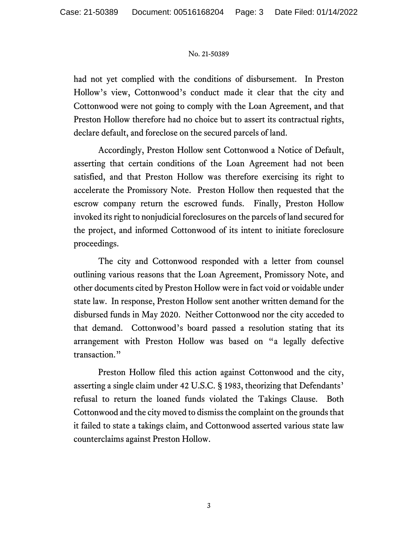had not yet complied with the conditions of disbursement. In Preston Hollow's view, Cottonwood's conduct made it clear that the city and Cottonwood were not going to comply with the Loan Agreement, and that Preston Hollow therefore had no choice but to assert its contractual rights, declare default, and foreclose on the secured parcels of land.

Accordingly, Preston Hollow sent Cottonwood a Notice of Default, asserting that certain conditions of the Loan Agreement had not been satisfied, and that Preston Hollow was therefore exercising its right to accelerate the Promissory Note. Preston Hollow then requested that the escrow company return the escrowed funds. Finally, Preston Hollow invoked its right to nonjudicial foreclosures on the parcels of land secured for the project, and informed Cottonwood of its intent to initiate foreclosure proceedings.

The city and Cottonwood responded with a letter from counsel outlining various reasons that the Loan Agreement, Promissory Note, and other documents cited by Preston Hollow were in fact void or voidable under state law. In response, Preston Hollow sent another written demand for the disbursed funds in May 2020. Neither Cottonwood nor the city acceded to that demand. Cottonwood's board passed a resolution stating that its arrangement with Preston Hollow was based on "a legally defective transaction."

Preston Hollow filed this action against Cottonwood and the city, asserting a single claim under 42 U.S.C. § 1983, theorizing that Defendants' refusal to return the loaned funds violated the Takings Clause. Both Cottonwood and the city moved to dismiss the complaint on the grounds that it failed to state a takings claim, and Cottonwood asserted various state law counterclaims against Preston Hollow.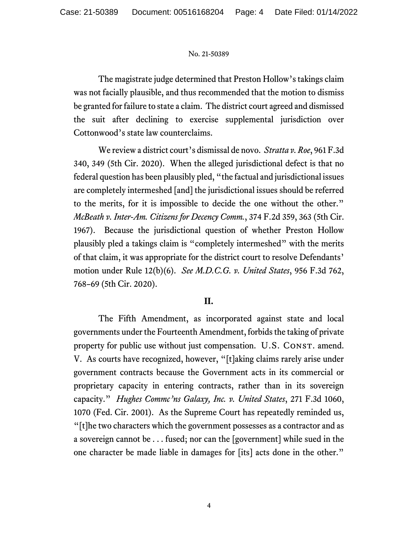The magistrate judge determined that Preston Hollow's takings claim was not facially plausible, and thus recommended that the motion to dismiss be granted for failure to state a claim. The district court agreed and dismissed the suit after declining to exercise supplemental jurisdiction over Cottonwood's state law counterclaims.

We review a district court's dismissal de novo. *Stratta v. Roe*, 961 F.3d 340, 349 (5th Cir. 2020). When the alleged jurisdictional defect is that no federal question has been plausibly pled, "the factual and jurisdictional issues are completely intermeshed [and] the jurisdictional issues should be referred to the merits, for it is impossible to decide the one without the other." *McBeath v. Inter-Am. Citizens for Decency Comm.*, 374 F.2d 359, 363 (5th Cir. 1967). Because the jurisdictional question of whether Preston Hollow plausibly pled a takings claim is "completely intermeshed" with the merits of that claim, it was appropriate for the district court to resolve Defendants' motion under Rule 12(b)(6). *See M.D.C.G. v. United States*, 956 F.3d 762, 768–69 (5th Cir. 2020).

## **II.**

The Fifth Amendment, as incorporated against state and local governments under the Fourteenth Amendment, forbids the taking of private property for public use without just compensation. U.S. CONST. amend. V. As courts have recognized, however, "[t]aking claims rarely arise under government contracts because the Government acts in its commercial or proprietary capacity in entering contracts, rather than in its sovereign capacity." *Hughes Commc'ns Galaxy, Inc. v. United States*, 271 F.3d 1060, 1070 (Fed. Cir. 2001). As the Supreme Court has repeatedly reminded us, "[t]he two characters which the government possesses as a contractor and as a sovereign cannot be . . . fused; nor can the [government] while sued in the one character be made liable in damages for [its] acts done in the other."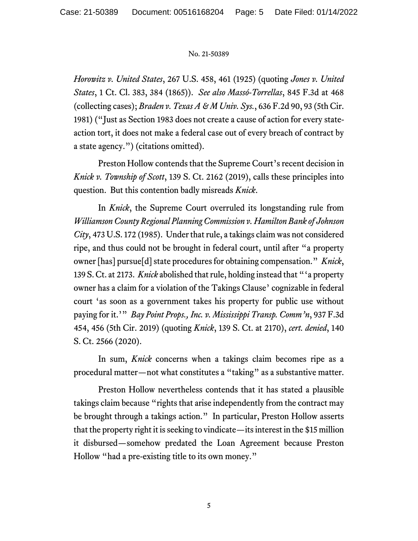*Horowitz v. United States*, 267 U.S. 458, 461 (1925) (quoting *Jones v. United States*, 1 Ct. Cl. 383, 384 (1865)). *See also Massó-Torrellas*, 845 F.3d at 468 (collecting cases); *Braden v. Texas A & M Univ. Sys.*, 636 F.2d 90, 93 (5th Cir. 1981) ("Just as Section 1983 does not create a cause of action for every stateaction tort, it does not make a federal case out of every breach of contract by a state agency.") (citations omitted).

Preston Hollow contends that the Supreme Court's recent decision in *Knick v. Township of Scott*, 139 S. Ct. 2162 (2019), calls these principles into question. But this contention badly misreads *Knick*.

In *Knick*, the Supreme Court overruled its longstanding rule from *Williamson County Regional Planning Commission v. Hamilton Bank of Johnson City*, 473 U.S. 172 (1985). Underthat rule, a takings claim was not considered ripe, and thus could not be brought in federal court, until after "a property owner [has] pursue[d] state procedures for obtaining compensation." *Knick*, 139 S. Ct. at 2173. *Knick* abolished that rule, holding instead that "'a property owner has a claim for a violation of the Takings Clause' cognizable in federal court 'as soon as a government takes his property for public use without paying for it.'" *Bay Point Props., Inc. v. Mississippi Transp. Comm'n*, 937 F.3d 454, 456 (5th Cir. 2019) (quoting *Knick*, 139 S. Ct. at 2170), *cert. denied*, 140 S. Ct. 2566 (2020).

In sum, *Knick* concerns when a takings claim becomes ripe as a procedural matter—not what constitutes a "taking" as a substantive matter.

Preston Hollow nevertheless contends that it has stated a plausible takings claim because "rights that arise independently from the contract may be brought through a takings action." In particular, Preston Hollow asserts that the property right it is seeking to vindicate—its interest in the \$15 million it disbursed—somehow predated the Loan Agreement because Preston Hollow "had a pre-existing title to its own money."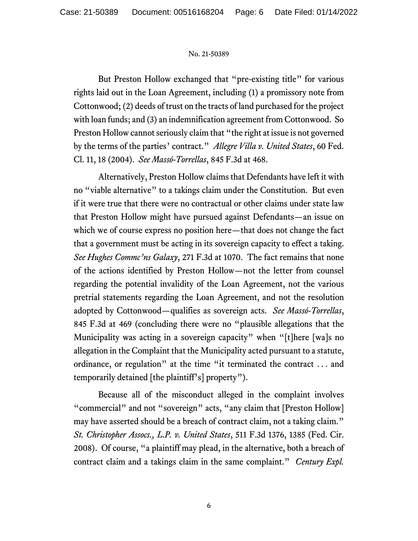But Preston Hollow exchanged that "pre-existing title" for various rights laid out in the Loan Agreement, including (1) a promissory note from Cottonwood; (2) deeds of trust on the tracts of land purchased for the project with loan funds; and (3) an indemnification agreement from Cottonwood. So Preston Hollow cannot seriously claim that "the right at issue is not governed by the terms of the parties' contract." *Allegre Villa v. United States*, 60 Fed. Cl. 11, 18 (2004). *See Massó-Torrellas*, 845 F.3d at 468.

Alternatively, Preston Hollow claims that Defendants have left it with no "viable alternative" to a takings claim under the Constitution. But even if it were true that there were no contractual or other claims under state law that Preston Hollow might have pursued against Defendants—an issue on which we of course express no position here—that does not change the fact that a government must be acting in its sovereign capacity to effect a taking. *See Hughes Commc'ns Galaxy*, 271 F.3d at 1070. The fact remains that none of the actions identified by Preston Hollow—not the letter from counsel regarding the potential invalidity of the Loan Agreement, not the various pretrial statements regarding the Loan Agreement, and not the resolution adopted by Cottonwood—qualifies as sovereign acts. *See Massó-Torrellas*, 845 F.3d at 469 (concluding there were no "plausible allegations that the Municipality was acting in a sovereign capacity" when "[t]here [wa]s no allegation in the Complaint that the Municipality acted pursuant to a statute, ordinance, or regulation" at the time "it terminated the contract . . . and temporarily detained [the plaintiff's] property").

Because all of the misconduct alleged in the complaint involves "commercial" and not "sovereign" acts, "any claim that [Preston Hollow] may have asserted should be a breach of contract claim, not a taking claim." *St. Christopher Assocs., L.P. v. United States*, 511 F.3d 1376, 1385 (Fed. Cir. 2008). Of course, "a plaintiff may plead, in the alternative, both a breach of contract claim and a takings claim in the same complaint." *Century Expl.*